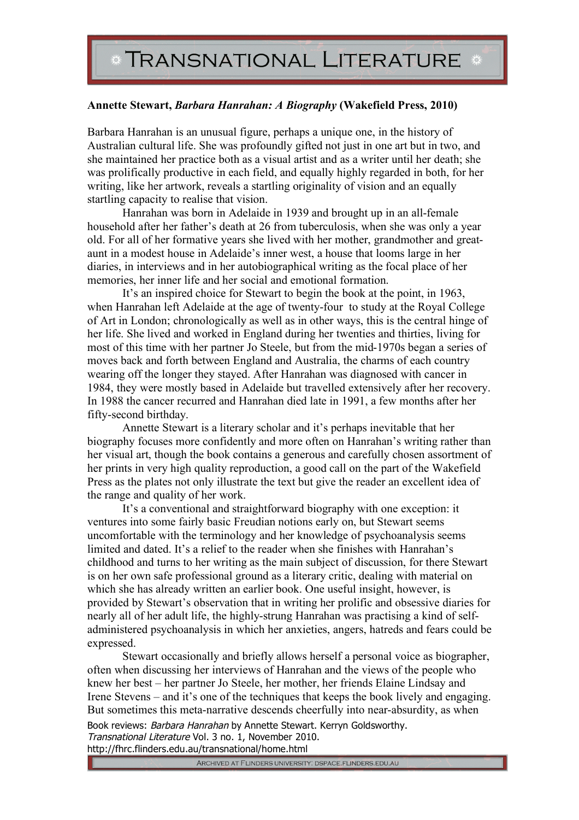## **Annette Stewart,** *Barbara Hanrahan: A Biography* **(Wakefield Press, 2010)**

Barbara Hanrahan is an unusual figure, perhaps a unique one, in the history of Australian cultural life. She was profoundly gifted not just in one art but in two, and she maintained her practice both as a visual artist and as a writer until her death; she was prolifically productive in each field, and equally highly regarded in both, for her writing, like her artwork, reveals a startling originality of vision and an equally startling capacity to realise that vision.

Hanrahan was born in Adelaide in 1939 and brought up in an all-female household after her father's death at 26 from tuberculosis, when she was only a year old. For all of her formative years she lived with her mother, grandmother and greataunt in a modest house in Adelaide's inner west, a house that looms large in her diaries, in interviews and in her autobiographical writing as the focal place of her memories, her inner life and her social and emotional formation.

It's an inspired choice for Stewart to begin the book at the point, in 1963, when Hanrahan left Adelaide at the age of twenty-four to study at the Royal College of Art in London; chronologically as well as in other ways, this is the central hinge of her life. She lived and worked in England during her twenties and thirties, living for most of this time with her partner Jo Steele, but from the mid-1970s began a series of moves back and forth between England and Australia, the charms of each country wearing off the longer they stayed. After Hanrahan was diagnosed with cancer in 1984, they were mostly based in Adelaide but travelled extensively after her recovery. In 1988 the cancer recurred and Hanrahan died late in 1991, a few months after her fifty-second birthday.

Annette Stewart is a literary scholar and it's perhaps inevitable that her biography focuses more confidently and more often on Hanrahan's writing rather than her visual art, though the book contains a generous and carefully chosen assortment of her prints in very high quality reproduction, a good call on the part of the Wakefield Press as the plates not only illustrate the text but give the reader an excellent idea of the range and quality of her work.

It's a conventional and straightforward biography with one exception: it ventures into some fairly basic Freudian notions early on, but Stewart seems uncomfortable with the terminology and her knowledge of psychoanalysis seems limited and dated. It's a relief to the reader when she finishes with Hanrahan's childhood and turns to her writing as the main subject of discussion, for there Stewart is on her own safe professional ground as a literary critic, dealing with material on which she has already written an earlier book. One useful insight, however, is provided by Stewart's observation that in writing her prolific and obsessive diaries for nearly all of her adult life, the highly-strung Hanrahan was practising a kind of selfadministered psychoanalysis in which her anxieties, angers, hatreds and fears could be expressed.

Book reviews: Barbara Hanrahan by Annette Stewart. Kerryn Goldsworthy. Transnational Literature Vol. 3 no. 1, November 2010. Stewart occasionally and briefly allows herself a personal voice as biographer, often when discussing her interviews of Hanrahan and the views of the people who knew her best – her partner Jo Steele, her mother, her friends Elaine Lindsay and Irene Stevens – and it's one of the techniques that keeps the book lively and engaging. But sometimes this meta-narrative descends cheerfully into near-absurdity, as when

http://fhrc.flinders.edu.au/transnational/home.html